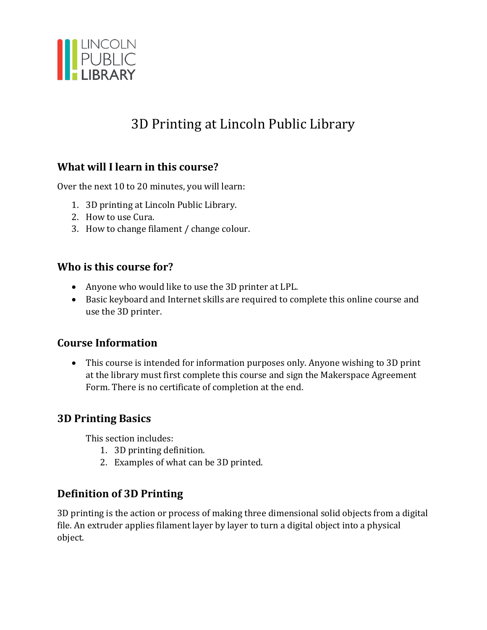

# 3D Printing at Lincoln Public Library

#### **What will I learn in this course?**

Over the next 10 to 20 minutes, you will learn:

- 1. 3D printing at Lincoln Public Library.
- 2. How to use Cura.
- 3. How to change filament / change colour.

#### **Who is this course for?**

- Anyone who would like to use the 3D printer at LPL.
- Basic keyboard and Internet skills are required to complete this online course and use the 3D printer.

#### **Course Information**

• This course is intended for information purposes only. Anyone wishing to 3D print at the library must first complete this course and sign the Makerspace Agreement Form. There is no certificate of completion at the end.

#### **3D Printing Basics**

This section includes:

- 1. 3D printing definition.
- 2. Examples of what can be 3D printed.

## **Definition of 3D Printing**

3D printing is the action or process of making three dimensional solid objects from a digital file. An extruder applies filament layer by layer to turn a digital object into a physical object.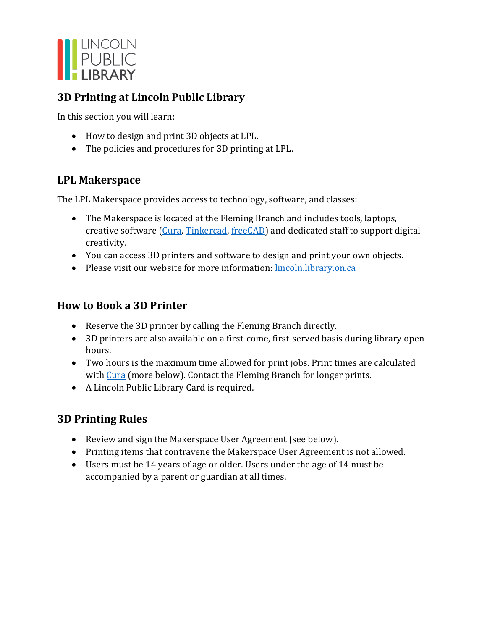

## **3D Printing at Lincoln Public Library**

In this section you will learn:

- How to design and print 3D objects at LPL.
- The policies and procedures for 3D printing at LPL.

## **LPL Makerspace**

The LPL Makerspace provides access to technology, software, and classes:

- The Makerspace is located at the Fleming Branch and includes tools, laptops, creative software [\(Cura,](https://ultimaker.com/software/ultimaker-cura) [Tinkercad,](https://www.tinkercad.com/) [freeCAD\)](https://www.freecadweb.org/) and dedicated staff to support digital creativity.
- You can access 3D printers and software to design and print your own objects.
- Please visit our website for more information: [lincoln.library.on.ca](https://lincoln.library.on.ca/)

## **How to Book a 3D Printer**

- Reserve the 3D printer by calling the Fleming Branch directly.
- 3D printers are also available on a first-come, first-served basis during library open hours.
- Two hours is the maximum time allowed for print jobs. Print times are calculated with [Cura](https://ultimaker.com/software/ultimaker-cura) (more below). Contact the Fleming Branch for longer prints.
- A Lincoln Public Library Card is required.

# **3D Printing Rules**

- Review and sign the Makerspace User Agreement (see below).
- Printing items that contravene the Makerspace User Agreement is not allowed.
- Users must be 14 years of age or older. Users under the age of 14 must be accompanied by a parent or guardian at all times.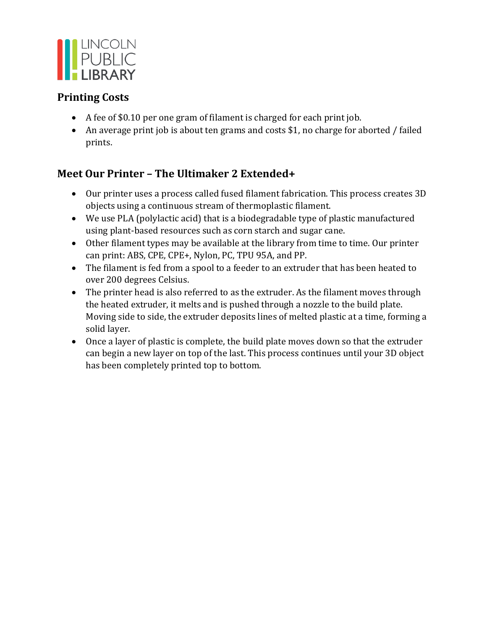

## **Printing Costs**

- A fee of \$0.10 per one gram of filament is charged for each print job.
- An average print job is about ten grams and costs \$1, no charge for aborted / failed prints.

# **Meet Our Printer – The Ultimaker 2 Extended+**

- Our printer uses a process called fused filament fabrication. This process creates 3D objects using a continuous stream of thermoplastic filament.
- We use PLA (polylactic acid) that is a biodegradable type of plastic manufactured using plant-based resources such as corn starch and sugar cane.
- Other filament types may be available at the library from time to time. Our printer can print: ABS, CPE, CPE+, Nylon, PC, TPU 95A, and PP.
- The filament is fed from a spool to a feeder to an extruder that has been heated to over 200 degrees Celsius.
- The printer head is also referred to as the extruder. As the filament moves through the heated extruder, it melts and is pushed through a nozzle to the build plate. Moving side to side, the extruder deposits lines of melted plastic at a time, forming a solid layer.
- Once a layer of plastic is complete, the build plate moves down so that the extruder can begin a new layer on top of the last. This process continues until your 3D object has been completely printed top to bottom.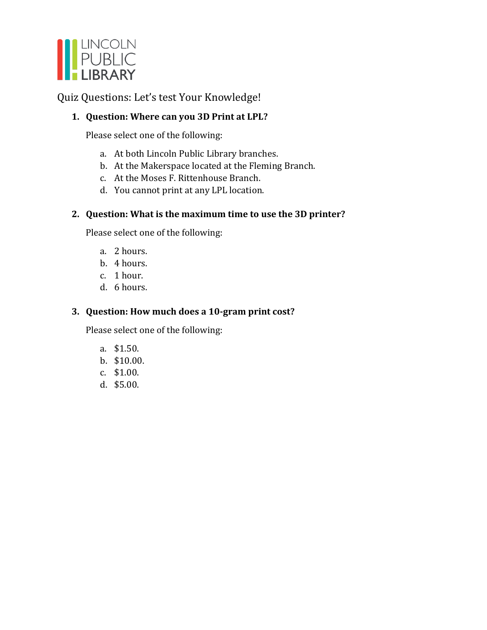

Quiz Questions: Let's test Your Knowledge!

#### **1. Question: Where can you 3D Print at LPL?**

Please select one of the following:

- a. At both Lincoln Public Library branches.
- b. At the Makerspace located at the Fleming Branch.
- c. At the Moses F. Rittenhouse Branch.
- d. You cannot print at any LPL location.

#### **2. Question: What is the maximum time to use the 3D printer?**

Please select one of the following:

- a. 2 hours.
- b. 4 hours.
- c. 1 hour.
- d. 6 hours.

#### **3. Question: How much does a 10-gram print cost?**

Please select one of the following:

- a. \$1.50.
- b. \$10.00.
- c. \$1.00.
- d. \$5.00.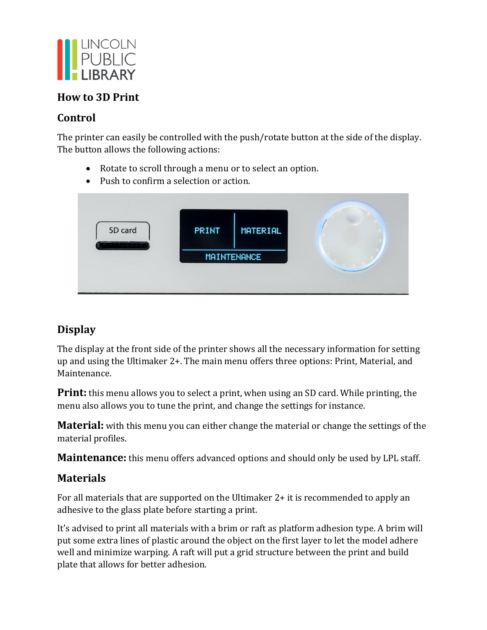

#### **How to 3D Print**

## **Control**

The printer can easily be controlled with the push/rotate button at the side of the display. The button allows the following actions:

- Rotate to scroll through a menu or to select an option.
- Push to confirm a selection or action.



# **Display**

The display at the front side of the printer shows all the necessary information for setting up and using the Ultimaker 2+. The main menu offers three options: Print, Material, and Maintenance.

**Print:** this menu allows you to select a print, when using an SD card. While printing, the menu also allows you to tune the print, and change the settings for instance.

**Material:** with this menu you can either change the material or change the settings of the material profiles.

**Maintenance:** this menu offers advanced options and should only be used by LPL staff.

## **Materials**

For all materials that are supported on the Ultimaker 2+ it is recommended to apply an adhesive to the glass plate before starting a print.

It's advised to print all materials with a brim or raft as platform adhesion type. A brim will put some extra lines of plastic around the object on the first layer to let the model adhere well and minimize warping. A raft will put a grid structure between the print and build plate that allows for better adhesion.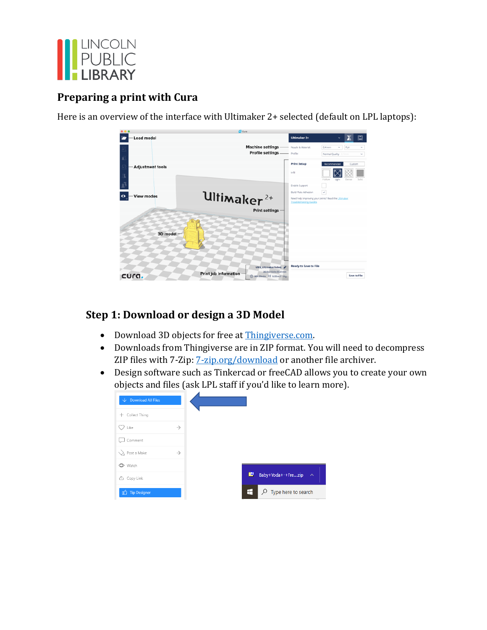

## **Preparing a print with Cura**

Here is an overview of the interface with Ultimaker 2+ selected (default on LPL laptops):

|                                | <b>G</b> Cura           |                                                                                  |                                                                                |                                                                     |
|--------------------------------|-------------------------|----------------------------------------------------------------------------------|--------------------------------------------------------------------------------|---------------------------------------------------------------------|
| Load model                     |                         |                                                                                  | Ultimaker 2+                                                                   | ⊡<br>$\checkmark$                                                   |
| ź                              |                         | <b>Machine settings Machine S</b> Material:<br>Profile settings __ Profie:       |                                                                                | PLA<br>0.4 mm<br>v<br>v<br>Normal Quality<br>v<br>0.1mm             |
| <b>Adjustment tools</b><br>Ä   |                         |                                                                                  | <b>Print Setup</b><br>Infil                                                    | Recommended<br>Custom<br>Hollow<br>Dense<br>Solid<br>Light          |
| <b>View modes</b><br>$\bullet$ | Ultimaker <sup>2+</sup> |                                                                                  | Enable Support<br><b>Build Plate Adhesion</b><br><b>Troubleshooting Guides</b> | $\checkmark$<br>Need help improving your prints? Read the Ultimaker |
| 3D model -                     |                         | <b>Print settings</b>                                                            |                                                                                |                                                                     |
| cura.                          | Print job information   | UM2 UltimakerRobot<br>26.0 x 15.0 x 33.8 mm<br><b>◎ 00h 59min</b>   0.55 m/ ~ 4g | <b>Ready to Save to File</b>                                                   | Save to File                                                        |

## **Step 1: Download or design a 3D Model**

- Download 3D objects for free at [Thingiverse.com.](https://www.thingiverse.com/)
- Downloads from Thingiverse are in ZIP format. You will need to decompress ZIP files with 7-Zip: [7-zip.org/download](https://www.7-zip.org/download.html) or another file archiver.
- Design software such as Tinkercad or freeCAD allows you to create your own objects and files (ask LPL staff if you'd like to learn more).

| $\downarrow$ Download All Files |               |                                      |
|---------------------------------|---------------|--------------------------------------|
| Collect Thing<br>$+$            |               |                                      |
| Like                            | $\rightarrow$ |                                      |
| Comment                         |               |                                      |
| $\setminus$ Post a Make         | $\rightarrow$ |                                      |
| Watch                           |               |                                      |
| ① Copy Link                     |               | 但<br>Baby+Yoda+-+Frezip<br>$\lambda$ |
| <sup>0</sup> Tip Designer       |               | H<br>$\rho$ Type here to search      |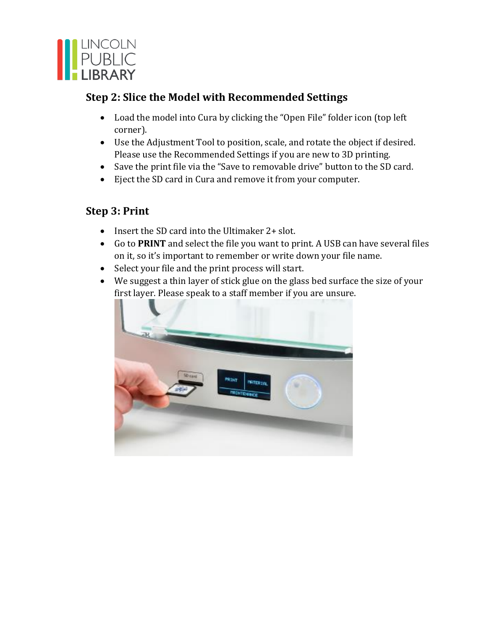

## **Step 2: Slice the Model with Recommended Settings**

- Load the model into Cura by clicking the "Open File" folder icon (top left corner).
- Use the Adjustment Tool to position, scale, and rotate the object if desired. Please use the Recommended Settings if you are new to 3D printing.
- Save the print file via the "Save to removable drive" button to the SD card.
- Eject the SD card in Cura and remove it from your computer.

## **Step 3: Print**

- Insert the SD card into the Ultimaker 2+ slot.
- Go to **PRINT** and select the file you want to print. A USB can have several files on it, so it's important to remember or write down your file name.
- Select your file and the print process will start.
- We suggest a thin layer of stick glue on the glass bed surface the size of your first layer. Please speak to a staff member if you are unsure.

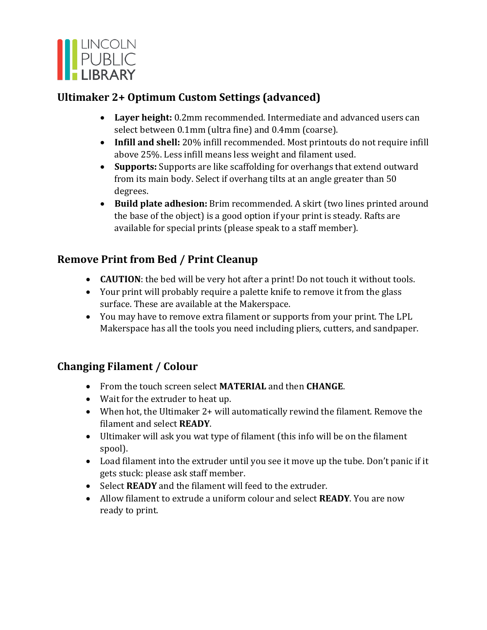

## **Ultimaker 2+ Optimum Custom Settings (advanced)**

- **Layer height:** 0.2mm recommended. Intermediate and advanced users can select between 0.1mm (ultra fine) and 0.4mm (coarse).
- **Infill and shell:** 20% infill recommended. Most printouts do not require infill above 25%. Less infill means less weight and filament used.
- **Supports:** Supports are like scaffolding for overhangs that extend outward from its main body. Select if overhang tilts at an angle greater than 50 degrees.
- **Build plate adhesion:** Brim recommended. A skirt (two lines printed around the base of the object) is a good option if your print is steady. Rafts are available for special prints (please speak to a staff member).

# **Remove Print from Bed / Print Cleanup**

- **CAUTION**: the bed will be very hot after a print! Do not touch it without tools.
- Your print will probably require a palette knife to remove it from the glass surface. These are available at the Makerspace.
- You may have to remove extra filament or supports from your print. The LPL Makerspace has all the tools you need including pliers, cutters, and sandpaper.

# **Changing Filament / Colour**

- From the touch screen select **MATERIAL** and then **CHANGE**.
- Wait for the extruder to heat up.
- When hot, the Ultimaker 2+ will automatically rewind the filament. Remove the filament and select **READY**.
- Ultimaker will ask you wat type of filament (this info will be on the filament spool).
- Load filament into the extruder until you see it move up the tube. Don't panic if it gets stuck: please ask staff member.
- Select **READY** and the filament will feed to the extruder.
- Allow filament to extrude a uniform colour and select **READY**. You are now ready to print.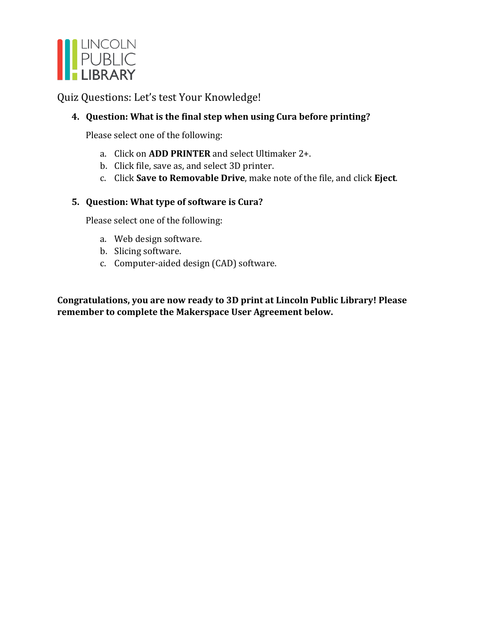

Quiz Questions: Let's test Your Knowledge!

#### **4. Question: What is the final step when using Cura before printing?**

Please select one of the following:

- a. Click on **ADD PRINTER** and select Ultimaker 2+.
- b. Click file, save as, and select 3D printer.
- c. Click **Save to Removable Drive**, make note of the file, and click **Eject**.

#### **5. Question: What type of software is Cura?**

Please select one of the following:

- a. Web design software.
- b. Slicing software.
- c. Computer-aided design (CAD) software.

**Congratulations, you are now ready to 3D print at Lincoln Public Library! Please remember to complete the Makerspace User Agreement below.**